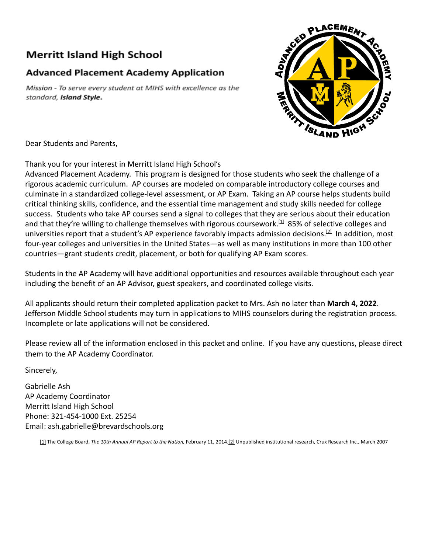## **Merritt Island High School**

## **Advanced Placement Academy Application**

Mission - To serve every student at MIHS with excellence as the standard, Island Style.



Dear Students and Parents,

Thank you for your interest in Merritt Island High School's

Advanced Placement Academy. This program is designed for those students who seek the challenge of a rigorous academic curriculum. AP courses are modeled on comparable introductory college courses and culminate in a standardized college-level assessment, or AP Exam. Taking an AP course helps students build critical thinking skills, confidence, and the essential time management and study skills needed for college success. Students who take AP courses send a signal to colleges that they are serious about their education and that they're willing to challenge themselves with rigorous coursework.<sup>[\[1\]](https://apcentral.collegeboard.org/about-ap/discover-benefits#footnote-1)</sup> 85% of selective colleges and universities report that a student's AP experience favorably impacts admission decisions.<sup>[\[2\]](https://apcentral.collegeboard.org/about-ap/discover-benefits#footnote-2)</sup> In addition, most four-year colleges and universities in the United States—as well as many institutions in more than 100 other countries—grant students credit, placement, or both for qualifying AP Exam scores.

Students in the AP Academy will have additional opportunities and resources available throughout each year including the benefit of an AP Advisor, guest speakers, and coordinated college visits.

All applicants should return their completed application packet to Mrs. Ash no later than **March 4, 2022**. Jefferson Middle School students may turn in applications to MIHS counselors during the registration process. Incomplete or late applications will not be considered.

Please review all of the information enclosed in this packet and online. If you have any questions, please direct them to the AP Academy Coordinator.

Sincerely,

Gabrielle Ash AP Academy Coordinator Merritt Island High School Phone: 321-454-1000 Ext. 25254 Email: ash.gabrielle@brevardschools.org

[\[1\]](https://apcentral.collegeboard.org/about-ap/discover-benefits#footnote-1-origin) The College Board, *The 10th Annual AP Report to the Nation,* February 11, 2014.[\[2\]](https://apcentral.collegeboard.org/about-ap/discover-benefits#footnote-2-origin) Unpublished institutional research, Crux Research Inc., March 2007